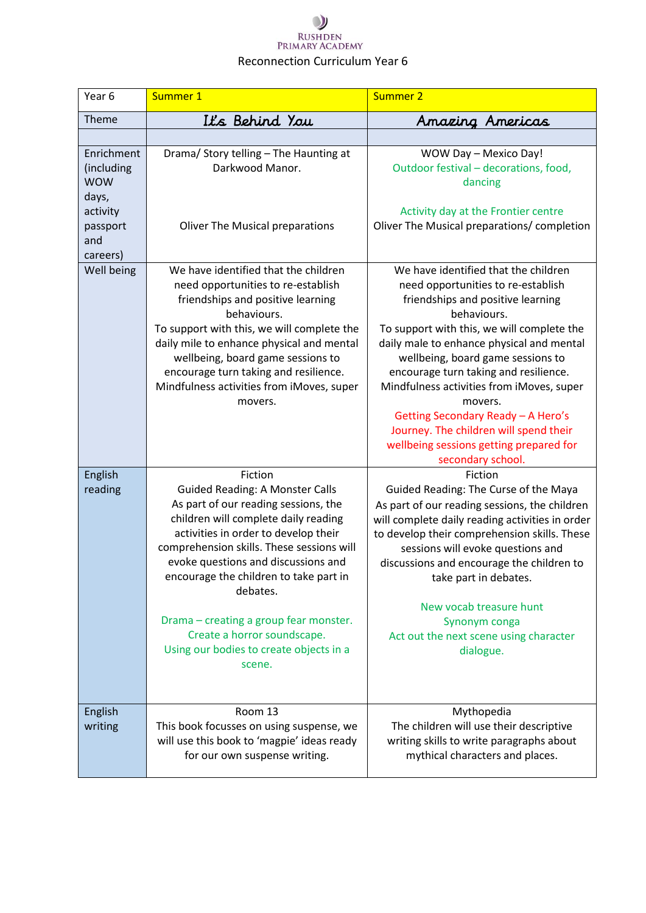# $\bigcup$ RUSHDEN<br>PRIMARY ACADEMY Reconnection Curriculum Year 6

| Year <sub>6</sub> | Summer 1                                                                               | Summer 2                                                                                        |
|-------------------|----------------------------------------------------------------------------------------|-------------------------------------------------------------------------------------------------|
| Theme             | It's Behind You                                                                        | Amazing Americas                                                                                |
|                   |                                                                                        |                                                                                                 |
| Enrichment        | Drama/ Story telling - The Haunting at                                                 | WOW Day - Mexico Day!                                                                           |
| (including        | Darkwood Manor.                                                                        | Outdoor festival - decorations, food,                                                           |
| <b>WOW</b>        |                                                                                        | dancing                                                                                         |
| days,<br>activity |                                                                                        | Activity day at the Frontier centre                                                             |
| passport          | <b>Oliver The Musical preparations</b>                                                 | Oliver The Musical preparations/ completion                                                     |
| and               |                                                                                        |                                                                                                 |
| careers)          |                                                                                        |                                                                                                 |
| Well being        | We have identified that the children                                                   | We have identified that the children                                                            |
|                   | need opportunities to re-establish                                                     | need opportunities to re-establish                                                              |
|                   | friendships and positive learning<br>behaviours.                                       | friendships and positive learning<br>behaviours.                                                |
|                   | To support with this, we will complete the                                             | To support with this, we will complete the                                                      |
|                   | daily mile to enhance physical and mental                                              | daily male to enhance physical and mental                                                       |
|                   | wellbeing, board game sessions to                                                      | wellbeing, board game sessions to                                                               |
|                   | encourage turn taking and resilience.                                                  | encourage turn taking and resilience.                                                           |
|                   | Mindfulness activities from iMoves, super                                              | Mindfulness activities from iMoves, super                                                       |
|                   | movers.                                                                                | movers.<br>Getting Secondary Ready - A Hero's                                                   |
|                   |                                                                                        | Journey. The children will spend their                                                          |
|                   |                                                                                        | wellbeing sessions getting prepared for                                                         |
|                   |                                                                                        | secondary school.                                                                               |
| English           | Fiction                                                                                | Fiction                                                                                         |
| reading           | <b>Guided Reading: A Monster Calls</b>                                                 | Guided Reading: The Curse of the Maya                                                           |
|                   | As part of our reading sessions, the<br>children will complete daily reading           | As part of our reading sessions, the children                                                   |
|                   | activities in order to develop their                                                   | will complete daily reading activities in order<br>to develop their comprehension skills. These |
|                   | comprehension skills. These sessions will                                              | sessions will evoke questions and                                                               |
|                   | evoke questions and discussions and                                                    | discussions and encourage the children to                                                       |
|                   | encourage the children to take part in                                                 | take part in debates.                                                                           |
|                   | debates.                                                                               |                                                                                                 |
|                   | Drama - creating a group fear monster.                                                 | New vocab treasure hunt<br>Synonym conga                                                        |
|                   | Create a horror soundscape.                                                            | Act out the next scene using character                                                          |
|                   | Using our bodies to create objects in a                                                | dialogue.                                                                                       |
|                   | scene.                                                                                 |                                                                                                 |
|                   |                                                                                        |                                                                                                 |
|                   |                                                                                        |                                                                                                 |
| English           | Room 13                                                                                | Mythopedia                                                                                      |
| writing           | This book focusses on using suspense, we<br>will use this book to 'magpie' ideas ready | The children will use their descriptive<br>writing skills to write paragraphs about             |
|                   | for our own suspense writing.                                                          | mythical characters and places.                                                                 |
|                   |                                                                                        |                                                                                                 |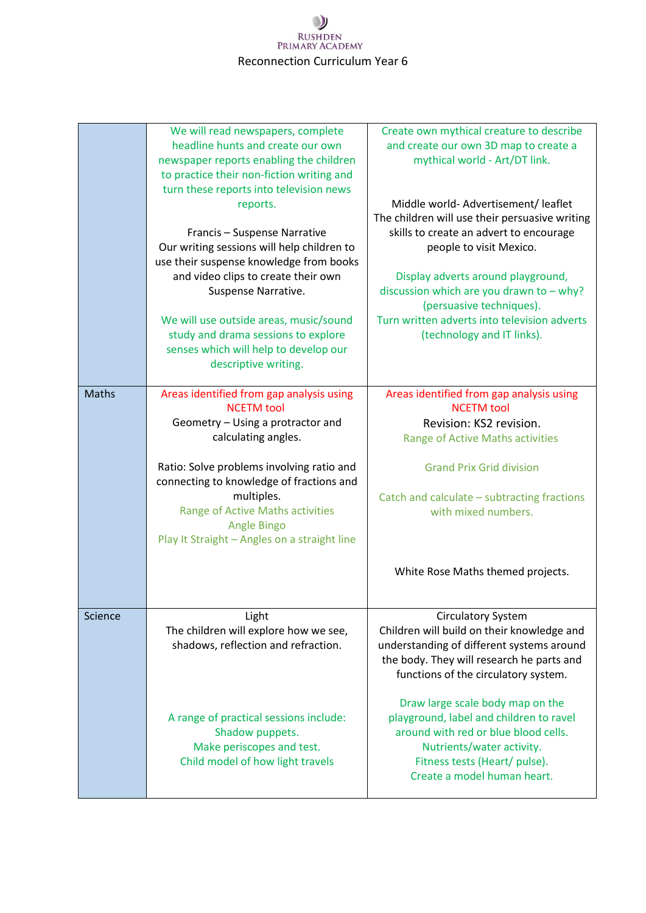## $\bullet$ RUSHDEN<br>PRIMARY ACADEMY Reconnection Curriculum Year 6

|              | We will read newspapers, complete<br>headline hunts and create our own<br>newspaper reports enabling the children<br>to practice their non-fiction writing and<br>turn these reports into television news | Create own mythical creature to describe<br>and create our own 3D map to create a<br>mythical world - Art/DT link.                                                                                               |
|--------------|-----------------------------------------------------------------------------------------------------------------------------------------------------------------------------------------------------------|------------------------------------------------------------------------------------------------------------------------------------------------------------------------------------------------------------------|
|              | reports.<br>Francis - Suspense Narrative<br>Our writing sessions will help children to<br>use their suspense knowledge from books                                                                         | Middle world-Advertisement/leaflet<br>The children will use their persuasive writing<br>skills to create an advert to encourage<br>people to visit Mexico.                                                       |
|              | and video clips to create their own<br>Suspense Narrative.                                                                                                                                                | Display adverts around playground,<br>discussion which are you drawn to - why?<br>(persuasive techniques).                                                                                                       |
|              | We will use outside areas, music/sound<br>study and drama sessions to explore<br>senses which will help to develop our<br>descriptive writing.                                                            | Turn written adverts into television adverts<br>(technology and IT links).                                                                                                                                       |
| <b>Maths</b> | Areas identified from gap analysis using                                                                                                                                                                  | Areas identified from gap analysis using                                                                                                                                                                         |
|              | <b>NCETM</b> tool<br>Geometry - Using a protractor and                                                                                                                                                    | <b>NCETM</b> tool<br>Revision: KS2 revision.                                                                                                                                                                     |
|              | calculating angles.                                                                                                                                                                                       | Range of Active Maths activities                                                                                                                                                                                 |
|              | Ratio: Solve problems involving ratio and                                                                                                                                                                 | <b>Grand Prix Grid division</b>                                                                                                                                                                                  |
|              | connecting to knowledge of fractions and                                                                                                                                                                  |                                                                                                                                                                                                                  |
|              | multiples.<br>Range of Active Maths activities<br><b>Angle Bingo</b><br>Play It Straight - Angles on a straight line                                                                                      | Catch and calculate - subtracting fractions<br>with mixed numbers.                                                                                                                                               |
|              |                                                                                                                                                                                                           | White Rose Maths themed projects.                                                                                                                                                                                |
| Science      | Light<br>The children will explore how we see,<br>shadows, reflection and refraction.                                                                                                                     | <b>Circulatory System</b><br>Children will build on their knowledge and<br>understanding of different systems around<br>the body. They will research he parts and<br>functions of the circulatory system.        |
|              | A range of practical sessions include:<br>Shadow puppets.<br>Make periscopes and test.<br>Child model of how light travels                                                                                | Draw large scale body map on the<br>playground, label and children to ravel<br>around with red or blue blood cells.<br>Nutrients/water activity.<br>Fitness tests (Heart/ pulse).<br>Create a model human heart. |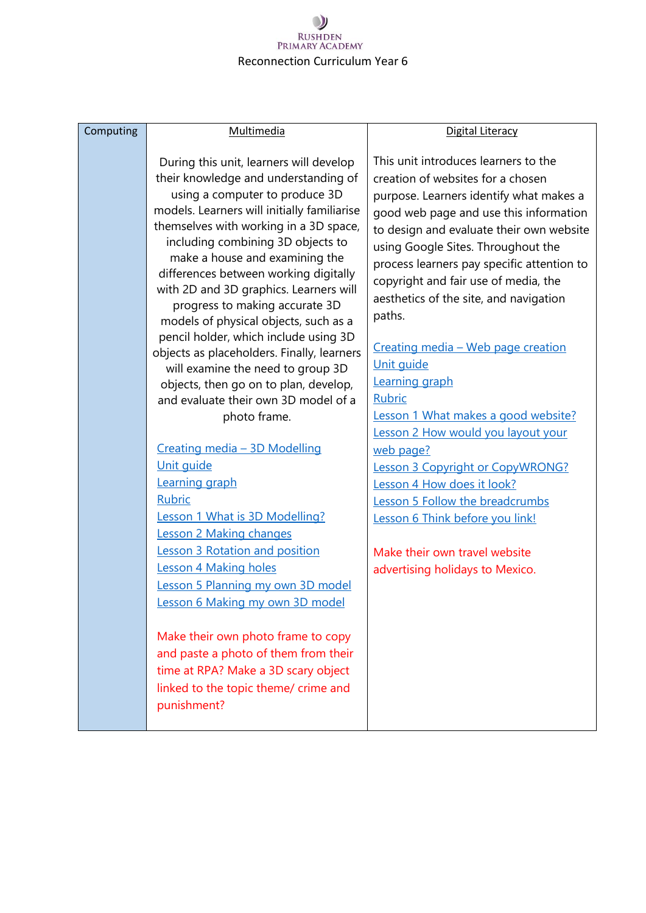## $\mathcal{Y}$ RUSHDEN<br>PRIMARY ACADEMY Reconnection Curriculum Year 6

| Computing | Multimedia                                                                                                                                                                                                                                                                                                                                                                                                                                                                                                                                                                                                                                                                                                                                                                                                                                                                                                                                                                                                                                                                                                                                        | Digital Literacy                                                                                                                                                                                                                                                                                                                                                                                                                                                                                                                                                                                                                                                                                                                                                                               |
|-----------|---------------------------------------------------------------------------------------------------------------------------------------------------------------------------------------------------------------------------------------------------------------------------------------------------------------------------------------------------------------------------------------------------------------------------------------------------------------------------------------------------------------------------------------------------------------------------------------------------------------------------------------------------------------------------------------------------------------------------------------------------------------------------------------------------------------------------------------------------------------------------------------------------------------------------------------------------------------------------------------------------------------------------------------------------------------------------------------------------------------------------------------------------|------------------------------------------------------------------------------------------------------------------------------------------------------------------------------------------------------------------------------------------------------------------------------------------------------------------------------------------------------------------------------------------------------------------------------------------------------------------------------------------------------------------------------------------------------------------------------------------------------------------------------------------------------------------------------------------------------------------------------------------------------------------------------------------------|
|           | During this unit, learners will develop<br>their knowledge and understanding of<br>using a computer to produce 3D<br>models. Learners will initially familiarise<br>themselves with working in a 3D space,<br>including combining 3D objects to<br>make a house and examining the<br>differences between working digitally<br>with 2D and 3D graphics. Learners will<br>progress to making accurate 3D<br>models of physical objects, such as a<br>pencil holder, which include using 3D<br>objects as placeholders. Finally, learners<br>will examine the need to group 3D<br>objects, then go on to plan, develop,<br>and evaluate their own 3D model of a<br>photo frame.<br>Creating media - 3D Modelling<br>Unit guide<br>Learning graph<br><b>Rubric</b><br>Lesson 1 What is 3D Modelling?<br>Lesson 2 Making changes<br><b>Lesson 3 Rotation and position</b><br>Lesson 4 Making holes<br>Lesson 5 Planning my own 3D model<br>Lesson 6 Making my own 3D model<br>Make their own photo frame to copy<br>and paste a photo of them from their<br>time at RPA? Make a 3D scary object<br>linked to the topic theme/ crime and<br>punishment? | This unit introduces learners to the<br>creation of websites for a chosen<br>purpose. Learners identify what makes a<br>good web page and use this information<br>to design and evaluate their own website<br>using Google Sites. Throughout the<br>process learners pay specific attention to<br>copyright and fair use of media, the<br>aesthetics of the site, and navigation<br>paths.<br>Creating media - Web page creation<br>Unit quide<br>Learning graph<br><b>Rubric</b><br>Lesson 1 What makes a good website?<br>Lesson 2 How would you layout your<br>web page?<br>Lesson 3 Copyright or CopyWRONG?<br>Lesson 4 How does it look?<br><b>Lesson 5 Follow the breadcrumbs</b><br>Lesson 6 Think before you link!<br>Make their own travel website<br>advertising holidays to Mexico. |
|           |                                                                                                                                                                                                                                                                                                                                                                                                                                                                                                                                                                                                                                                                                                                                                                                                                                                                                                                                                                                                                                                                                                                                                   |                                                                                                                                                                                                                                                                                                                                                                                                                                                                                                                                                                                                                                                                                                                                                                                                |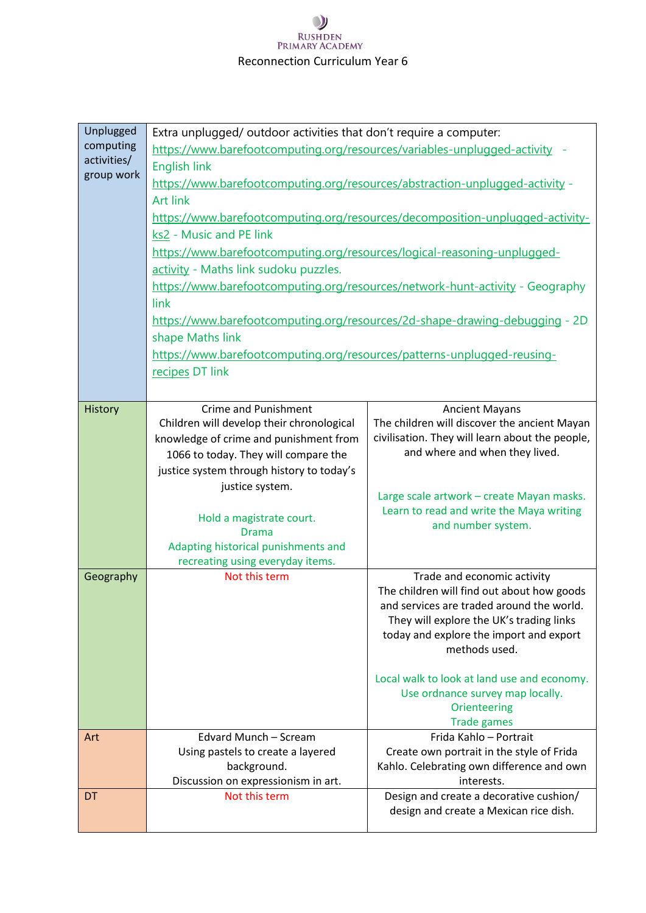## $\mathcal{Y}$ RUSHDEN<br>PRIMARY ACADEMY Reconnection Curriculum Year 6

| Unplugged<br>computing<br>activities/<br>group work | Extra unplugged/ outdoor activities that don't require a computer:<br>https://www.barefootcomputing.org/resources/variables-unplugged-activity -<br><b>English link</b><br>https://www.barefootcomputing.org/resources/abstraction-unplugged-activity -<br><b>Art link</b><br>https://www.barefootcomputing.org/resources/decomposition-unplugged-activity-<br>ks2 - Music and PE link<br>https://www.barefootcomputing.org/resources/logical-reasoning-unplugged-<br>activity - Maths link sudoku puzzles.<br>https://www.barefootcomputing.org/resources/network-hunt-activity - Geography<br>link<br>https://www.barefootcomputing.org/resources/2d-shape-drawing-debugging - 2D<br>shape Maths link<br>https://www.barefootcomputing.org/resources/patterns-unplugged-reusing- |                                                                                                                                                                                                                                                                                                                                                         |
|-----------------------------------------------------|------------------------------------------------------------------------------------------------------------------------------------------------------------------------------------------------------------------------------------------------------------------------------------------------------------------------------------------------------------------------------------------------------------------------------------------------------------------------------------------------------------------------------------------------------------------------------------------------------------------------------------------------------------------------------------------------------------------------------------------------------------------------------------|---------------------------------------------------------------------------------------------------------------------------------------------------------------------------------------------------------------------------------------------------------------------------------------------------------------------------------------------------------|
|                                                     | recipes DT link                                                                                                                                                                                                                                                                                                                                                                                                                                                                                                                                                                                                                                                                                                                                                                    |                                                                                                                                                                                                                                                                                                                                                         |
| History                                             | <b>Crime and Punishment</b><br>Children will develop their chronological<br>knowledge of crime and punishment from<br>1066 to today. They will compare the<br>justice system through history to today's<br>justice system.<br>Hold a magistrate court.<br><b>Drama</b><br>Adapting historical punishments and<br>recreating using everyday items.                                                                                                                                                                                                                                                                                                                                                                                                                                  | <b>Ancient Mayans</b><br>The children will discover the ancient Mayan<br>civilisation. They will learn about the people,<br>and where and when they lived.<br>Large scale artwork - create Mayan masks.<br>Learn to read and write the Maya writing<br>and number system.                                                                               |
| Geography                                           | Not this term                                                                                                                                                                                                                                                                                                                                                                                                                                                                                                                                                                                                                                                                                                                                                                      | Trade and economic activity<br>The children will find out about how goods<br>and services are traded around the world.<br>They will explore the UK's trading links<br>today and explore the import and export<br>methods used.<br>Local walk to look at land use and economy.<br>Use ordnance survey map locally.<br>Orienteering<br><b>Trade games</b> |
| Art                                                 | Edvard Munch - Scream<br>Using pastels to create a layered<br>background.<br>Discussion on expressionism in art.                                                                                                                                                                                                                                                                                                                                                                                                                                                                                                                                                                                                                                                                   | Frida Kahlo - Portrait<br>Create own portrait in the style of Frida<br>Kahlo. Celebrating own difference and own<br>interests.                                                                                                                                                                                                                          |
| <b>DT</b>                                           | Not this term                                                                                                                                                                                                                                                                                                                                                                                                                                                                                                                                                                                                                                                                                                                                                                      | Design and create a decorative cushion/<br>design and create a Mexican rice dish.                                                                                                                                                                                                                                                                       |